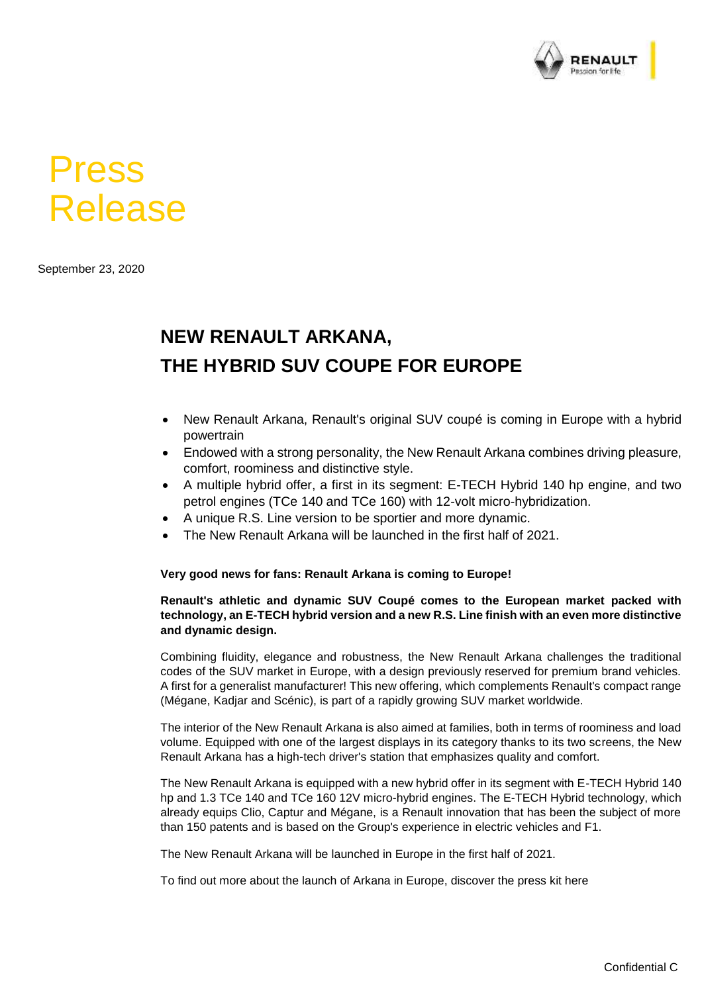

# Press Release

September 23, 2020

## **NEW RENAULT ARKANA, THE HYBRID SUV COUPE FOR EUROPE**

- New Renault Arkana, Renault's original SUV coupé is coming in Europe with a hybrid powertrain
- Endowed with a strong personality, the New Renault Arkana combines driving pleasure, comfort, roominess and distinctive style.
- A multiple hybrid offer, a first in its segment: E-TECH Hybrid 140 hp engine, and two petrol engines (TCe 140 and TCe 160) with 12-volt micro-hybridization.
- A unique R.S. Line version to be sportier and more dynamic.
- The New Renault Arkana will be launched in the first half of 2021.

### **Very good news for fans: Renault Arkana is coming to Europe!**

#### **Renault's athletic and dynamic SUV Coupé comes to the European market packed with technology, an E-TECH hybrid version and a new R.S. Line finish with an even more distinctive and dynamic design.**

Combining fluidity, elegance and robustness, the New Renault Arkana challenges the traditional codes of the SUV market in Europe, with a design previously reserved for premium brand vehicles. A first for a generalist manufacturer! This new offering, which complements Renault's compact range (Mégane, Kadjar and Scénic), is part of a rapidly growing SUV market worldwide.

The interior of the New Renault Arkana is also aimed at families, both in terms of roominess and load volume. Equipped with one of the largest displays in its category thanks to its two screens, the New Renault Arkana has a high-tech driver's station that emphasizes quality and comfort.

The New Renault Arkana is equipped with a new hybrid offer in its segment with E-TECH Hybrid 140 hp and 1.3 TCe 140 and TCe 160 12V micro-hybrid engines. The E-TECH Hybrid technology, which already equips Clio, Captur and Mégane, is a Renault innovation that has been the subject of more than 150 patents and is based on the Group's experience in electric vehicles and F1.

The New Renault Arkana will be launched in Europe in the first half of 2021.

To find out more about the launch of Arkana in Europe, discover the press kit here